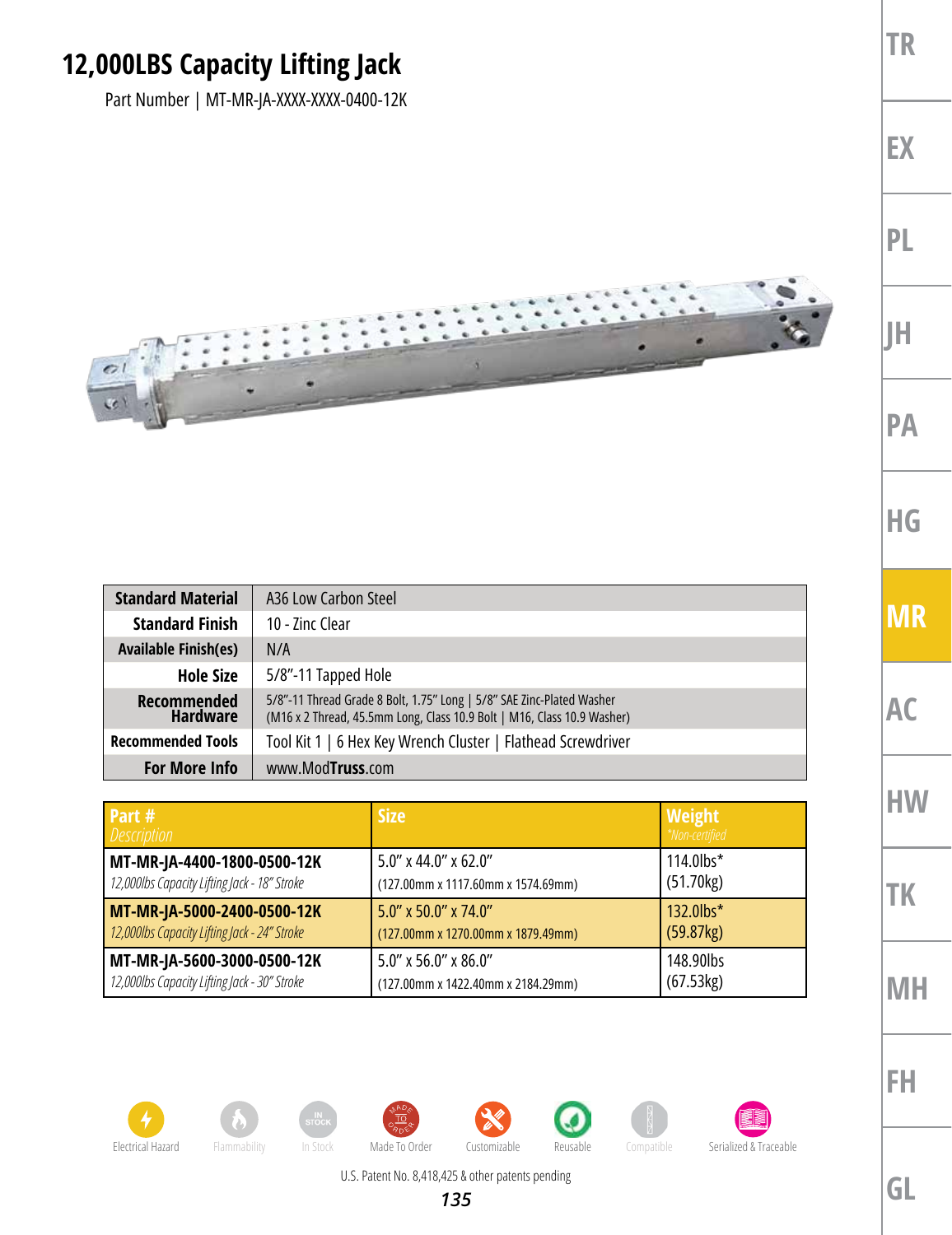## **12,000LBS Capacity Lifting Jack**

Part Number | MT-MR-JA-XXXX-XXXX-0400-12K



| <b>Standard Material</b>       | A36 Low Carbon Steel                                                                                                                             |  |
|--------------------------------|--------------------------------------------------------------------------------------------------------------------------------------------------|--|
| <b>Standard Finish</b>         | 10 - Zinc Clear                                                                                                                                  |  |
| <b>Available Finish(es)</b>    | N/A                                                                                                                                              |  |
| <b>Hole Size</b>               | 5/8"-11 Tapped Hole                                                                                                                              |  |
| Recommended<br><b>Hardware</b> | 5/8"-11 Thread Grade 8 Bolt, 1.75" Long   5/8" SAE Zinc-Plated Washer<br>(M16 x 2 Thread, 45.5mm Long, Class 10.9 Bolt   M16, Class 10.9 Washer) |  |
| <b>Recommended Tools</b>       | Tool Kit 1   6 Hex Key Wrench Cluster   Flathead Screwdriver                                                                                     |  |
| <b>For More Info</b>           | www.ModTruss.com                                                                                                                                 |  |

| Part #<br><b>Description</b>                 | <b>Size</b>                        | <b>Weight</b><br>*Non-certified |
|----------------------------------------------|------------------------------------|---------------------------------|
| MT-MR-JA-4400-1800-0500-12K                  | $5.0''$ x 44.0" x 62.0"            | 114.0lbs*                       |
| 12,000lbs Capacity Lifting Jack - 18" Stroke | (127.00mm x 1117.60mm x 1574.69mm) | (51.70kg)                       |
| MT-MR-JA-5000-2400-0500-12K                  | 5.0" x 50.0" x 74.0"               | 132.0lbs*                       |
| 12,000lbs Capacity Lifting Jack - 24" Stroke | (127.00mm x 1270.00mm x 1879.49mm) | (59.87kg)                       |
| MT-MR-JA-5600-3000-0500-12K                  | 5.0" x 56.0" x 86.0"               | 148.90lbs                       |
| 12,000lbs Capacity Lifting Jack - 30" Stroke | (127.00mm x 1422.40mm x 2184.29mm) | (67.53kg)                       |



















U.S. Patent No. 8,418,425 & other patents pending



**TR**

**EX**

**PL**

**JH**

**PA**

**HG**

**MR**

**AC**

**HW**

**TK**

**MH**

**FH**